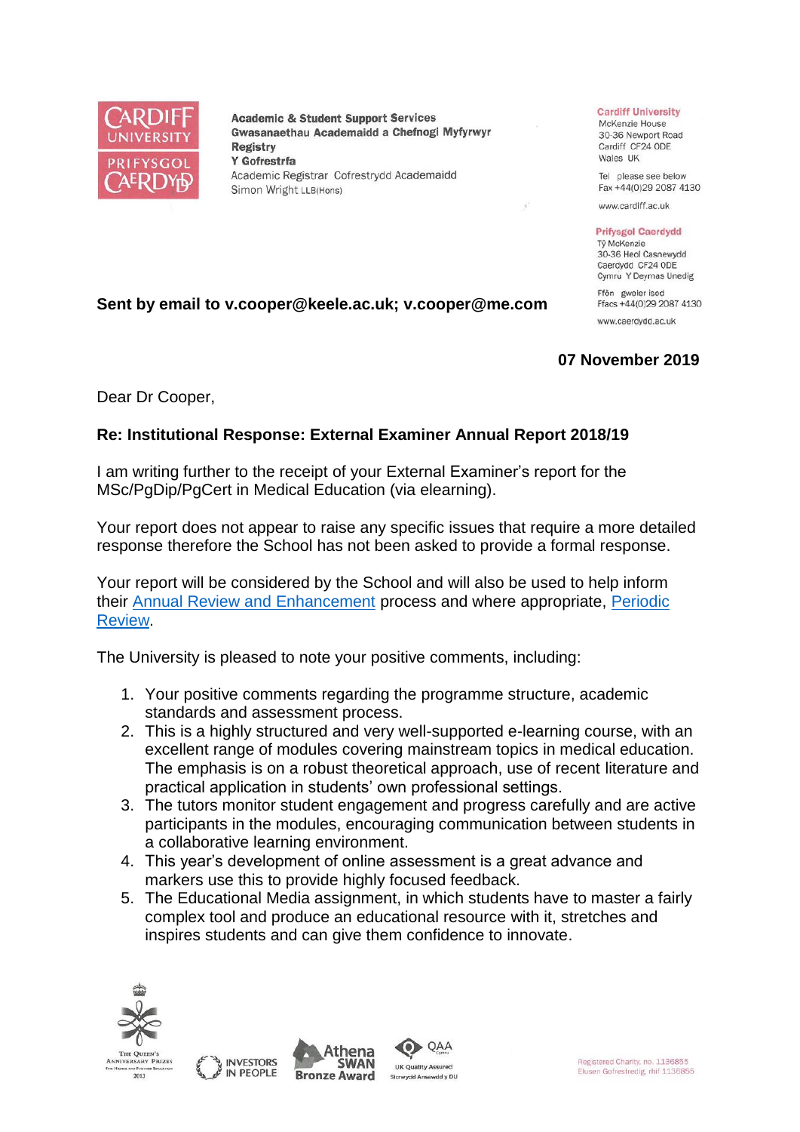

**Academic & Student Support Services** Gwasanaethau Academaidd a Chefnogi Myfyrwyr **Registry** Y Gofrestrfa Academic Registrar Cofrestrydd Academaidd Simon Wright LLB(Hons)

## **Cardiff University**

McKenzie House 30-36 Newport Road Cardiff CF24 ODE Wales UK

Tel please see below Fax +44(0)29 2087 4130

www.cardiff.ac.uk

**Prifysgol Caerdydd** Tỷ McKenzie 30-36 Heol Casnewydd Caerdydd CF24 ODE Cymru Y Deyrnas Unedig

Ffôn gweler isod Ffacs +44(0)29 2087 4130

www.caerdydd.ac.uk

## **07 November 2019**

Dear Dr Cooper,

## **Re: Institutional Response: External Examiner Annual Report 2018/19**

**Sent by email to v.cooper@keele.ac.uk; v.cooper@me.com**

I am writing further to the receipt of your External Examiner's report for the MSc/PgDip/PgCert in Medical Education (via elearning).

Your report does not appear to raise any specific issues that require a more detailed response therefore the School has not been asked to provide a formal response.

Your report will be considered by the School and will also be used to help inform their [Annual Review and Enhancement](https://www.cardiff.ac.uk/public-information/quality-and-standards/monitoring-and-review/annual-review-and-enhancement) process and where appropriate, Periodic [Review.](http://www.cardiff.ac.uk/public-information/quality-and-standards/monitoring-and-review/periodic-review)

The University is pleased to note your positive comments, including:

- 1. Your positive comments regarding the programme structure, academic standards and assessment process.
- 2. This is a highly structured and very well-supported e-learning course, with an excellent range of modules covering mainstream topics in medical education. The emphasis is on a robust theoretical approach, use of recent literature and practical application in students' own professional settings.
- 3. The tutors monitor student engagement and progress carefully and are active participants in the modules, encouraging communication between students in a collaborative learning environment.
- 4. This year's development of online assessment is a great advance and markers use this to provide highly focused feedback.
- 5. The Educational Media assignment, in which students have to master a fairly complex tool and produce an educational resource with it, stretches and inspires students and can give them confidence to innovate.